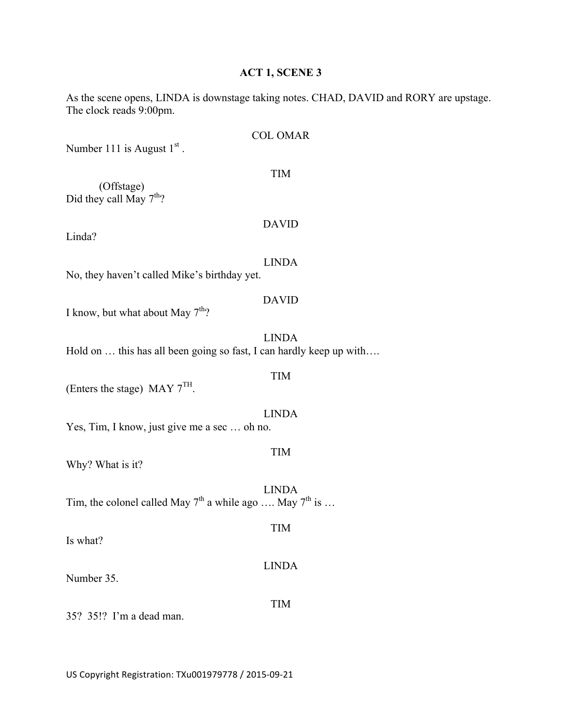## **ACT 1, SCENE 3**

As the scene opens, LINDA is downstage taking notes. CHAD, DAVID and RORY are upstage. The clock reads 9:00pm.

|                                                                     | <b>COL OMAR</b> |  |
|---------------------------------------------------------------------|-----------------|--|
| Number 111 is August $1st$ .                                        |                 |  |
| (Offstage)<br>Did they call May $7th$ ?                             | <b>TIM</b>      |  |
| Linda?                                                              | <b>DAVID</b>    |  |
| No, they haven't called Mike's birthday yet.                        | <b>LINDA</b>    |  |
| I know, but what about May $7th$ ?                                  | <b>DAVID</b>    |  |
| Hold on  this has all been going so fast, I can hardly keep up with | <b>LINDA</b>    |  |
| (Enters the stage) MAY $7TH$ .                                      | <b>TIM</b>      |  |
| <b>LINDA</b><br>Yes, Tim, I know, just give me a sec  oh no.        |                 |  |
| Why? What is it?                                                    | <b>TIM</b>      |  |
| Tim, the colonel called May $7^{th}$ a while ago  May $7^{th}$ is   | <b>LINDA</b>    |  |
| Is what?                                                            | <b>TIM</b>      |  |
| Number 35.                                                          | <b>LINDA</b>    |  |
| 35? 35!? I'm a dead man.                                            | <b>TIM</b>      |  |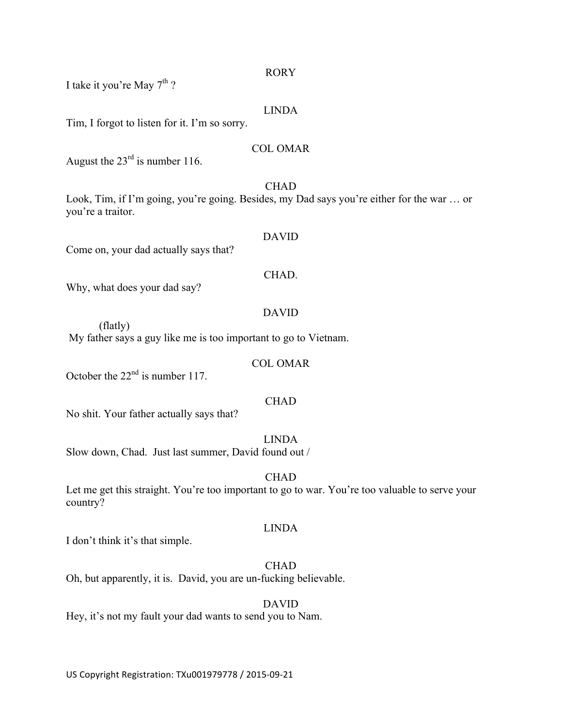#### RORY

I take it you're May  $7<sup>th</sup>$ ?

#### LINDA

Tim, I forgot to listen for it. I'm so sorry.

#### COL OMAR

August the  $23<sup>rd</sup>$  is number 116.

CHAD Look, Tim, if I'm going, you're going. Besides, my Dad says you're either for the war … or you're a traitor.

#### DAVID

Come on, your dad actually says that?

#### CHAD.

Why, what does your dad say?

## DAVID

(flatly) My father says a guy like me is too important to go to Vietnam.

#### COL OMAR

October the  $22<sup>nd</sup>$  is number 117.

#### CHAD

No shit. Your father actually says that?

## LINDA

Slow down, Chad. Just last summer, David found out /

#### CHAD

Let me get this straight. You're too important to go to war. You're too valuable to serve your country?

#### LINDA

I don't think it's that simple.

## CHAD

Oh, but apparently, it is. David, you are un-fucking believable.

#### DAVID

Hey, it's not my fault your dad wants to send you to Nam.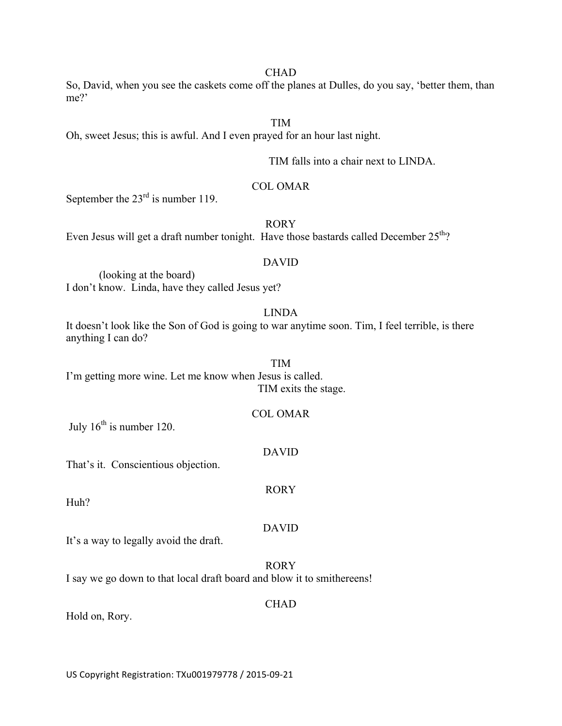#### CHAD

So, David, when you see the caskets come off the planes at Dulles, do you say, 'better them, than me?'

## TIM

Oh, sweet Jesus; this is awful. And I even prayed for an hour last night.

TIM falls into a chair next to LINDA.

### COL OMAR

September the  $23<sup>rd</sup>$  is number 119.

#### RORY

Even Jesus will get a draft number tonight. Have those bastards called December  $25<sup>th</sup>$ ?

#### DAVID

(looking at the board) I don't know. Linda, have they called Jesus yet?

## LINDA

It doesn't look like the Son of God is going to war anytime soon. Tim, I feel terrible, is there anything I can do?

TIM I'm getting more wine. Let me know when Jesus is called. TIM exits the stage.

### COL OMAR

July  $16^{th}$  is number 120.

#### DAVID

RORY

That's it. Conscientious objection.

Huh?

#### DAVID

It's a way to legally avoid the draft.

#### RORY

I say we go down to that local draft board and blow it to smithereens!

#### CHAD

Hold on, Rory.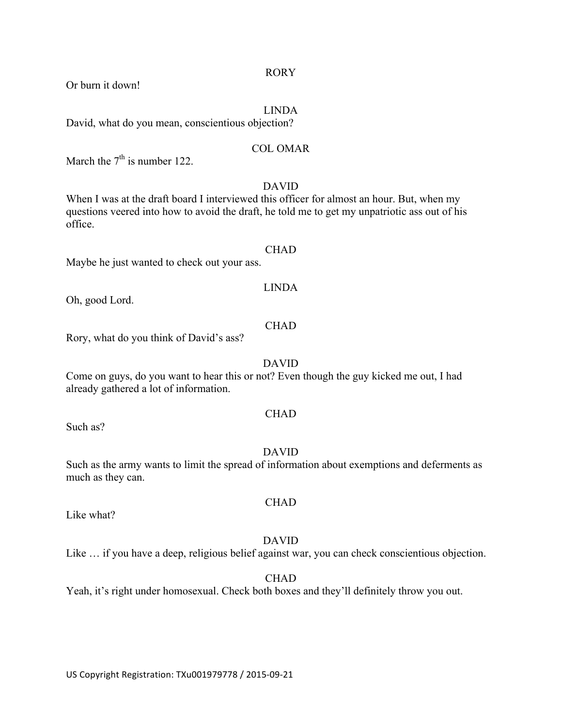US Copyright Registration: TXu001979778 / 2015-09-21

#### RORY

Or burn it down!

### LINDA

David, what do you mean, conscientious objection?

### COL OMAR

March the  $7<sup>th</sup>$  is number 122.

## DAVID

When I was at the draft board I interviewed this officer for almost an hour. But, when my questions veered into how to avoid the draft, he told me to get my unpatriotic ass out of his office.

#### **CHAD**

Maybe he just wanted to check out your ass.

# LINDA

Oh, good Lord.

### CHAD

Rory, what do you think of David's ass?

## DAVID

Come on guys, do you want to hear this or not? Even though the guy kicked me out, I had already gathered a lot of information.

## **CHAD**

Such as?

## DAVID

Such as the army wants to limit the spread of information about exemptions and deferments as much as they can.

Like what?

## DAVID

Like … if you have a deep, religious belief against war, you can check conscientious objection.

CHAD

## Yeah, it's right under homosexual. Check both boxes and they'll definitely throw you out.

**CHAD**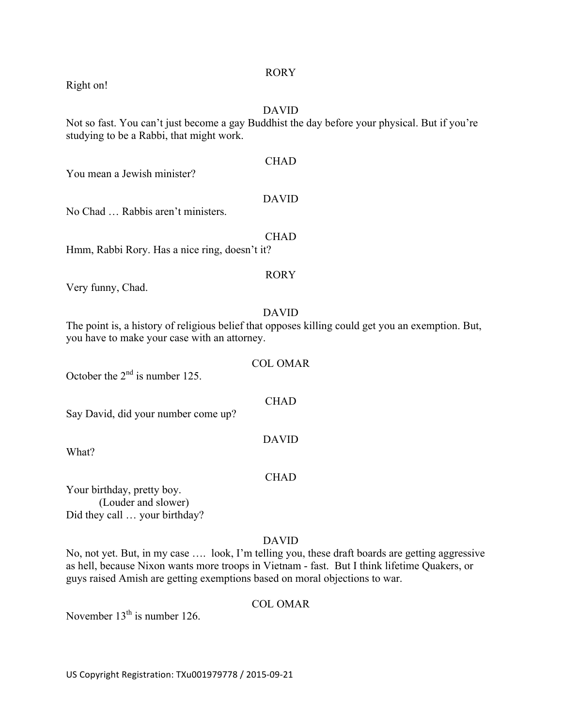#### RORY

#### DAVID

Not so fast. You can't just become a gay Buddhist the day before your physical. But if you're studying to be a Rabbi, that might work.

**CHAD** You mean a Jewish minister? DAVID No Chad … Rabbis aren't ministers.

Hmm, Rabbi Rory. Has a nice ring, doesn't it?

#### RORY

**CHAD** 

Very funny, Chad.

### DAVID

The point is, a history of religious belief that opposes killing could get you an exemption. But, you have to make your case with an attorney.

COL OMAR October the  $2<sup>nd</sup>$  is number 125. CHAD Say David, did your number come up? DAVID

What?

#### CHAD

Your birthday, pretty boy. (Louder and slower) Did they call … your birthday?

## DAVID

No, not yet. But, in my case …. look, I'm telling you, these draft boards are getting aggressive as hell, because Nixon wants more troops in Vietnam - fast. But I think lifetime Quakers, or guys raised Amish are getting exemptions based on moral objections to war.

## COL OMAR

November  $13<sup>th</sup>$  is number 126.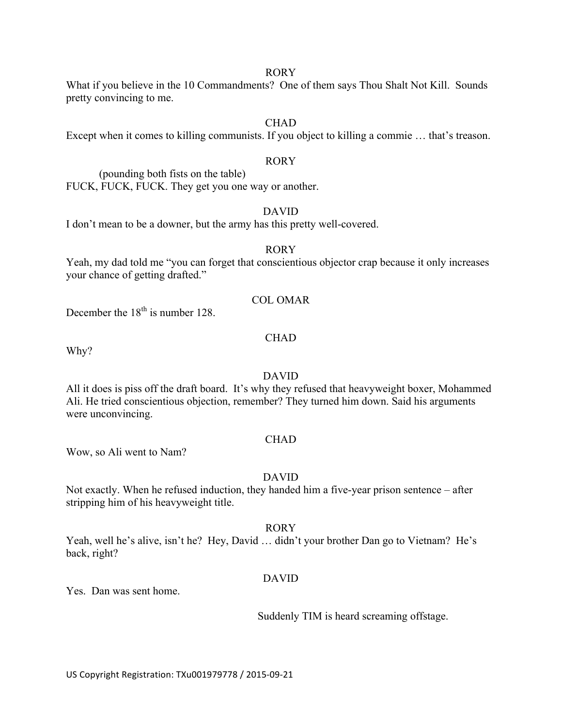#### RORY

What if you believe in the 10 Commandments? One of them says Thou Shalt Not Kill. Sounds pretty convincing to me.

## **CHAD**

Except when it comes to killing communists. If you object to killing a commie … that's treason.

### RORY

(pounding both fists on the table) FUCK, FUCK, FUCK. They get you one way or another.

## DAVID

I don't mean to be a downer, but the army has this pretty well-covered.

#### RORY

Yeah, my dad told me "you can forget that conscientious objector crap because it only increases your chance of getting drafted."

#### COL OMAR

December the  $18<sup>th</sup>$  is number 128.

## CHAD

Why?

## DAVID

All it does is piss off the draft board. It's why they refused that heavyweight boxer, Mohammed Ali. He tried conscientious objection, remember? They turned him down. Said his arguments were unconvincing.

## **CHAD**

Wow, so Ali went to Nam?

## DAVID

Not exactly. When he refused induction, they handed him a five-year prison sentence – after stripping him of his heavyweight title.

#### RORY

Yeah, well he's alive, isn't he? Hey, David … didn't your brother Dan go to Vietnam? He's back, right?

#### DAVID

Yes. Dan was sent home.

Suddenly TIM is heard screaming offstage.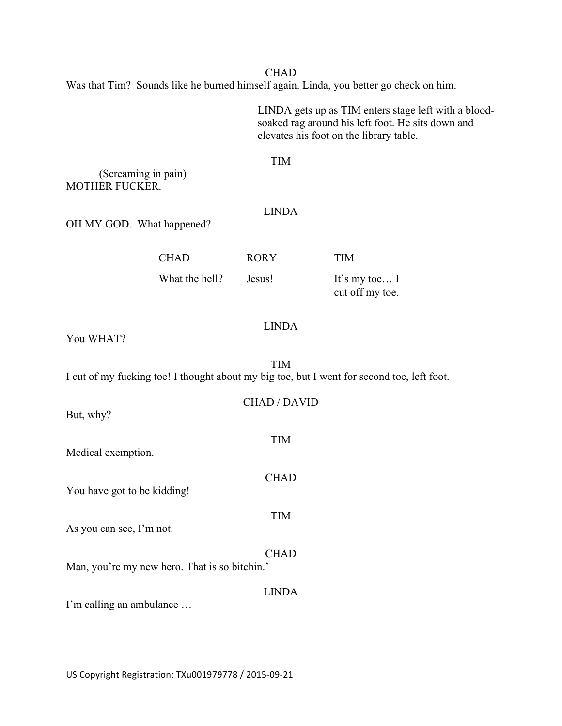**CHAD** Was that Tim? Sounds like he burned himself again. Linda, you better go check on him.

> LINDA gets up as TIM enters stage left with a bloodsoaked rag around his left foot. He sits down and elevates his foot on the library table.

#### TIM

(Screaming in pain) MOTHER FUCKER.

## LINDA

OH MY GOD. What happened?

| <b>TIM</b>                         |
|------------------------------------|
| It's my toe $I$<br>cut off my toe. |
|                                    |

## LINDA

You WHAT?

TIM I cut of my fucking toe! I thought about my big toe, but I went for second toe, left foot.

| But, why?                                     | <b>CHAD / DAVID</b> |
|-----------------------------------------------|---------------------|
| Medical exemption.                            | <b>TIM</b>          |
| You have got to be kidding!                   | <b>CHAD</b>         |
| As you can see, I'm not.                      | <b>TIM</b>          |
| Man, you're my new hero. That is so bitchin.' | <b>CHAD</b>         |
| I'm calling an ambulance                      | LINDA               |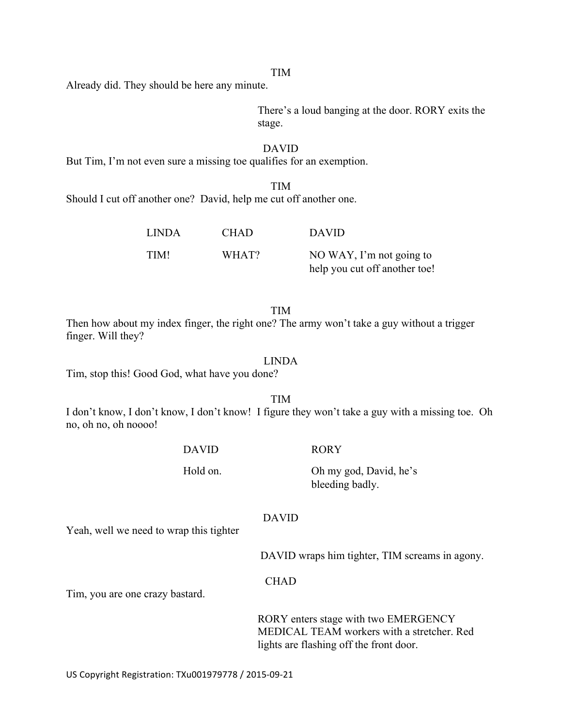#### TIM

Already did. They should be here any minute.

There's a loud banging at the door. RORY exits the stage.

#### DAVID

But Tim, I'm not even sure a missing toe qualifies for an exemption.

TIM Should I cut off another one? David, help me cut off another one.

| <b>LINDA</b> | <b>CHAD</b> | <b>DAVID</b>                  |
|--------------|-------------|-------------------------------|
| TIM!         | WHAT?       | NO WAY, I'm not going to      |
|              |             | help you cut off another toe! |

#### TIM

Then how about my index finger, the right one? The army won't take a guy without a trigger finger. Will they?

#### LINDA

Tim, stop this! Good God, what have you done?

TIM

I don't know, I don't know, I don't know! I figure they won't take a guy with a missing toe. Oh no, oh no, oh noooo!

DAVID

Hold on.

#### RORY

Oh my god, David, he's bleeding badly.

#### DAVID

Yeah, well we need to wrap this tighter

DAVID wraps him tighter, TIM screams in agony.

#### CHAD

Tim, you are one crazy bastard.

RORY enters stage with two EMERGENCY MEDICAL TEAM workers with a stretcher. Red lights are flashing off the front door.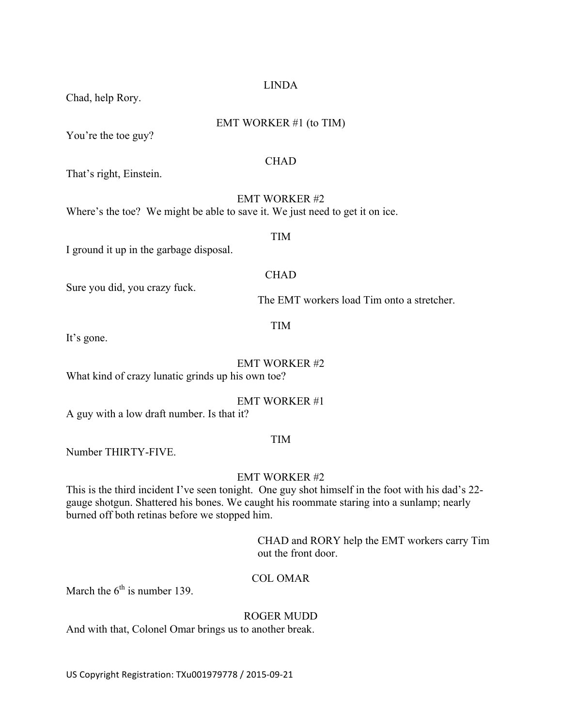## LINDA

Chad, help Rory.

## EMT WORKER #1 (to TIM)

You're the toe guy?

### **CHAD**

That's right, Einstein.

EMT WORKER #2 Where's the toe? We might be able to save it. We just need to get it on ice.

TIM

I ground it up in the garbage disposal.

## **CHAD**

Sure you did, you crazy fuck.

The EMT workers load Tim onto a stretcher.

## TIM

It's gone.

## EMT WORKER #2

What kind of crazy lunatic grinds up his own toe?

## EMT WORKER #1

A guy with a low draft number. Is that it?

# TIM

Number THIRTY-FIVE.

## EMT WORKER #2

This is the third incident I've seen tonight. One guy shot himself in the foot with his dad's 22 gauge shotgun. Shattered his bones. We caught his roommate staring into a sunlamp; nearly burned off both retinas before we stopped him.

> CHAD and RORY help the EMT workers carry Tim out the front door.

## COL OMAR

March the  $6<sup>th</sup>$  is number 139.

## ROGER MUDD

And with that, Colonel Omar brings us to another break.